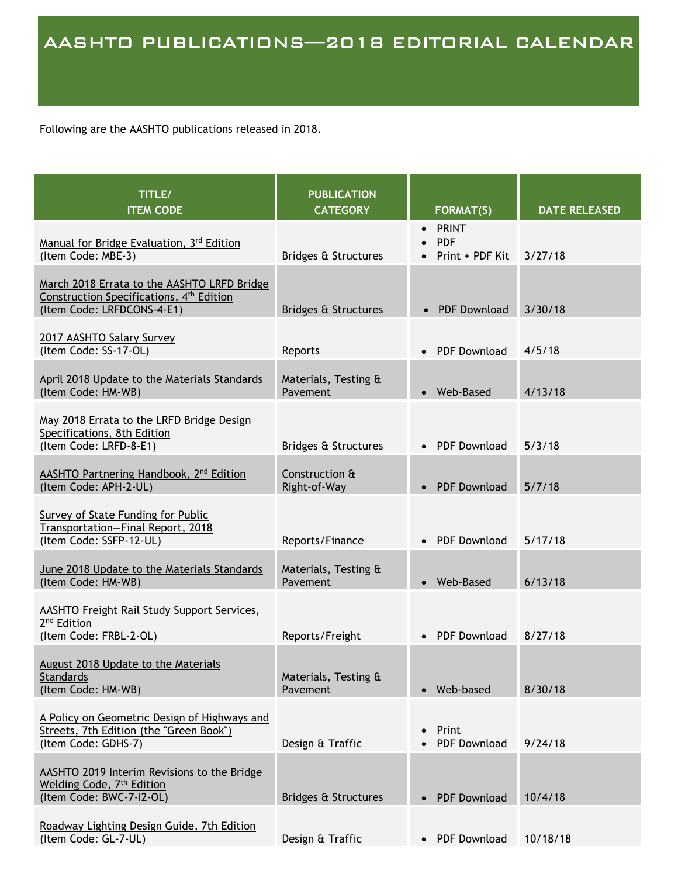Following are the AASHTO publications released in 2018.

| TITLE/<br><b>ITEM CODE</b>                                                                                                        | <b>PUBLICATION</b><br><b>CATEGORY</b> | <b>FORMAT(S)</b>                                           | <b>DATE RELEASED</b> |
|-----------------------------------------------------------------------------------------------------------------------------------|---------------------------------------|------------------------------------------------------------|----------------------|
| Manual for Bridge Evaluation, 3rd Edition<br>(Item Code: MBE-3)                                                                   | Bridges & Structures                  | <b>PRINT</b><br>$\bullet$<br><b>PDF</b><br>Print + PDF Kit | 3/27/18              |
| March 2018 Errata to the AASHTO LRFD Bridge<br>Construction Specifications, 4 <sup>th</sup> Edition<br>(Item Code: LRFDCONS-4-E1) | Bridges & Structures                  | • PDF Download                                             | 3/30/18              |
| 2017 AASHTO Salary Survey<br>(Item Code: SS-17-OL)                                                                                | Reports                               | • PDF Download                                             | 4/5/18               |
| April 2018 Update to the Materials Standards<br>(Item Code: HM-WB)                                                                | Materials, Testing &<br>Pavement      | • Web-Based                                                | 4/13/18              |
| May 2018 Errata to the LRFD Bridge Design<br>Specifications, 8th Edition<br>(Item Code: LRFD-8-E1)                                | Bridges & Structures                  | • PDF Download                                             | 5/3/18               |
| AASHTO Partnering Handbook, 2 <sup>nd</sup> Edition<br>(Item Code: APH-2-UL)                                                      | Construction &<br>Right-of-Way        | <b>PDF Download</b>                                        | 5/7/18               |
| <b>Survey of State Funding for Public</b><br>Transportation-Final Report, 2018<br>(Item Code: SSFP-12-UL)                         | Reports/Finance                       | <b>PDF Download</b>                                        | 5/17/18              |
| June 2018 Update to the Materials Standards<br>(Item Code: HM-WB)                                                                 | Materials, Testing &<br>Pavement      | • Web-Based                                                | 6/13/18              |
| <b>AASHTO Freight Rail Study Support Services,</b><br>2 <sup>nd</sup> Edition<br>(Item Code: FRBL-2-OL)                           | Reports/Freight                       | <b>PDF Download</b>                                        | 8/27/18              |
| August 2018 Update to the Materials<br><b>Standards</b><br>(Item Code: HM-WB)                                                     | Materials, Testing &<br>Pavement      | • Web-based                                                | 8/30/18              |
| A Policy on Geometric Design of Highways and<br>Streets, 7th Edition (the "Green Book")<br>(Item Code: GDHS-7)                    | Design & Traffic                      | Print<br><b>PDF Download</b>                               | 9/24/18              |
| AASHTO 2019 Interim Revisions to the Bridge<br>Welding Code, 7 <sup>th</sup> Edition<br>(Item Code: BWC-7-I2-OL)                  | Bridges & Structures                  | <b>PDF Download</b>                                        | 10/4/18              |
| Roadway Lighting Design Guide, 7th Edition<br>(Item Code: GL-7-UL)                                                                | Design & Traffic                      | <b>PDF Download</b>                                        | 10/18/18             |